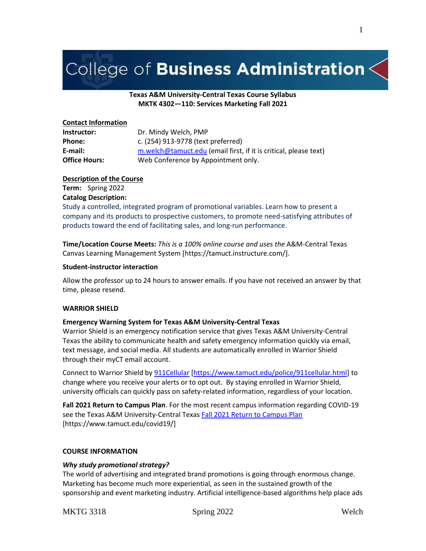# College of Business Administration $\lt$

# **Texas A&M University-Central Texas Course Syllabus MKTK 4302—110: Services Marketing Fall 2021**

# **Contact Information**

| Instructor:          | Dr. Mindy Welch, PMP                                             |
|----------------------|------------------------------------------------------------------|
| <b>Phone:</b>        | c. (254) 913-9778 (text preferred)                               |
| E-mail:              | m.welch@tamuct.edu (email first, if it is critical, please text) |
| <b>Office Hours:</b> | Web Conference by Appointment only.                              |

# **Description of the Course**

**Term:** Spring 2022 **Catalog Description:**

Study a controlled, integrated program of promotional variables. Learn how to present a company and its products to prospective customers, to promote need-satisfying attributes of products toward the end of facilitating sales, and long-run performance.

**Time/Location Course Meets:** *This is a 100% online course and uses the* A&M-Central Texas Canvas Learning Management System [https://tamuct.instructure.com/].

# **Student-instructor interaction**

Allow the professor up to 24 hours to answer emails. If you have not received an answer by that time, please resend.

# **WARRIOR SHIELD**

# **Emergency Warning System for Texas A&M University-Central Texas**

Warrior Shield is an emergency notification service that gives Texas A&M University-Central Texas the ability to communicate health and safety emergency information quickly via email, text message, and social media. All students are automatically enrolled in Warrior Shield through their myCT email account.

Connect to Warrior Shield b[y 911Cellular](https://www.tamuct.edu/police/911cellular.html) [\[https://www.tamuct.edu/police/911cellular.html\]](https://www.tamuct.edu/police/911cellular.html) to change where you receive your alerts or to opt out. By staying enrolled in Warrior Shield, university officials can quickly pass on safety-related information, regardless of your location.

**Fall 2021 Return to Campus Plan**. For the most recent campus information regarding COVID-19 see the Texas A&M University-Central Texa[s Fall 2021 Return to Campus Plan](https://www.tamuct.edu/covid19/) [https://www.tamuct.edu/covid19/]

# **COURSE INFORMATION**

# *Why study promotional strategy?*

The world of advertising and integrated brand promotions is going through enormous change. Marketing has become much more experiential, as seen in the sustained growth of the sponsorship and event marketing industry. Artificial intelligence-based algorithms help place ads

# MKTG 3318 Spring 2022 Welch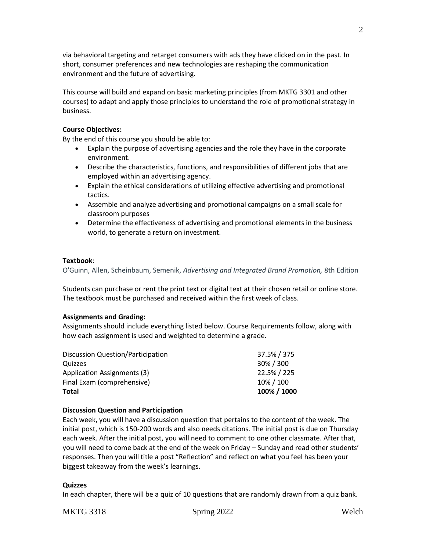via behavioral targeting and retarget consumers with ads they have clicked on in the past. In short, consumer preferences and new technologies are reshaping the communication environment and the future of advertising.

This course will build and expand on basic marketing principles (from MKTG 3301 and other courses) to adapt and apply those principles to understand the role of promotional strategy in business.

## **Course Objectives:**

By the end of this course you should be able to:

- Explain the purpose of advertising agencies and the role they have in the corporate environment.
- Describe the characteristics, functions, and responsibilities of different jobs that are employed within an advertising agency.
- Explain the ethical considerations of utilizing effective advertising and promotional tactics.
- Assemble and analyze advertising and promotional campaigns on a small scale for classroom purposes
- Determine the effectiveness of advertising and promotional elements in the business world, to generate a return on investment.

#### **Textbook**:

O'Guinn, Allen, Scheinbaum, Semenik, *Advertising and Integrated Brand Promotion,* 8th Edition

Students can purchase or rent the print text or digital text at their chosen retail or online store. The textbook must be purchased and received within the first week of class.

# **Assignments and Grading:**

Assignments should include everything listed below. Course Requirements follow, along with how each assignment is used and weighted to determine a grade.

| <b>Total</b>                             | 100% / 1000 |
|------------------------------------------|-------------|
| Final Exam (comprehensive)               | 10% / 100   |
| Application Assignments (3)              | 22.5% / 225 |
| Quizzes                                  | 30%/300     |
| <b>Discussion Question/Participation</b> | 37.5% / 375 |

# **Discussion Question and Participation**

Each week, you will have a discussion question that pertains to the content of the week. The initial post, which is 150-200 words and also needs citations. The initial post is due on Thursday each week. After the initial post, you will need to comment to one other classmate. After that, you will need to come back at the end of the week on Friday – Sunday and read other students' responses. Then you will title a post "Reflection" and reflect on what you feel has been your biggest takeaway from the week's learnings.

#### **Quizzes**

In each chapter, there will be a quiz of 10 questions that are randomly drawn from a quiz bank.

```
MKTG 3318 Spring 2022 Welch
```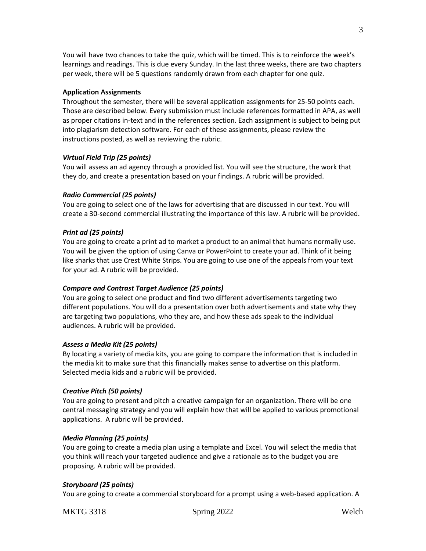You will have two chances to take the quiz, which will be timed. This is to reinforce the week's learnings and readings. This is due every Sunday. In the last three weeks, there are two chapters per week, there will be 5 questions randomly drawn from each chapter for one quiz.

#### **Application Assignments**

Throughout the semester, there will be several application assignments for 25-50 points each. Those are described below. Every submission must include references formatted in APA, as well as proper citations in-text and in the references section. Each assignment is subject to being put into plagiarism detection software. For each of these assignments, please review the instructions posted, as well as reviewing the rubric.

#### *Virtual Field Trip (25 points)*

You will assess an ad agency through a provided list. You will see the structure, the work that they do, and create a presentation based on your findings. A rubric will be provided.

#### *Radio Commercial (25 points)*

You are going to select one of the laws for advertising that are discussed in our text. You will create a 30-second commercial illustrating the importance of this law. A rubric will be provided.

#### *Print ad (25 points)*

You are going to create a print ad to market a product to an animal that humans normally use. You will be given the option of using Canva or PowerPoint to create your ad. Think of it being like sharks that use Crest White Strips. You are going to use one of the appeals from your text for your ad. A rubric will be provided.

#### *Compare and Contrast Target Audience (25 points)*

You are going to select one product and find two different advertisements targeting two different populations. You will do a presentation over both advertisements and state why they are targeting two populations, who they are, and how these ads speak to the individual audiences. A rubric will be provided.

#### *Assess a Media Kit (25 points)*

By locating a variety of media kits, you are going to compare the information that is included in the media kit to make sure that this financially makes sense to advertise on this platform. Selected media kids and a rubric will be provided.

#### *Creative Pitch (50 points)*

You are going to present and pitch a creative campaign for an organization. There will be one central messaging strategy and you will explain how that will be applied to various promotional applications. A rubric will be provided.

#### *Media Planning (25 points)*

You are going to create a media plan using a template and Excel. You will select the media that you think will reach your targeted audience and give a rationale as to the budget you are proposing. A rubric will be provided.

#### *Storyboard (25 points)*

You are going to create a commercial storyboard for a prompt using a web-based application. A

MKTG 3318 Spring 2022 Welch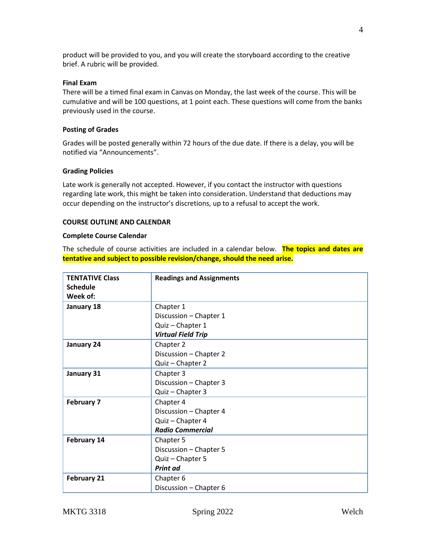product will be provided to you, and you will create the storyboard according to the creative brief. A rubric will be provided.

#### **Final Exam**

There will be a timed final exam in Canvas on Monday, the last week of the course. This will be cumulative and will be 100 questions, at 1 point each. These questions will come from the banks previously used in the course.

#### **Posting of Grades**

Grades will be posted generally within 72 hours of the due date. If there is a delay, you will be notified via "Announcements".

#### **Grading Policies**

Late work is generally not accepted. However, if you contact the instructor with questions regarding late work, this might be taken into consideration. Understand that deductions may occur depending on the instructor's discretions, up to a refusal to accept the work.

#### **COURSE OUTLINE AND CALENDAR**

#### **Complete Course Calendar**

The schedule of course activities are included in a calendar below. **The topics and dates are tentative and subject to possible revision/change, should the need arise.**

| <b>TENTATIVE Class</b><br><b>Schedule</b> | <b>Readings and Assignments</b> |
|-------------------------------------------|---------------------------------|
| Week of:                                  |                                 |
| January 18                                | Chapter 1                       |
|                                           | Discussion - Chapter 1          |
|                                           | Quiz - Chapter 1                |
|                                           | <b>Virtual Field Trip</b>       |
| January 24                                | Chapter 2                       |
|                                           | Discussion - Chapter 2          |
|                                           | Quiz - Chapter 2                |
| January 31                                | Chapter 3                       |
|                                           | Discussion - Chapter 3          |
|                                           | Quiz - Chapter 3                |
| <b>February 7</b>                         | Chapter 4                       |
|                                           | Discussion - Chapter 4          |
|                                           | Quiz - Chapter 4                |
|                                           | <b>Radio Commercial</b>         |
| February 14                               | Chapter 5                       |
|                                           | Discussion - Chapter 5          |
|                                           | Quiz - Chapter 5                |
|                                           | Print ad                        |
| <b>February 21</b>                        | Chapter 6                       |
|                                           | Discussion - Chapter 6          |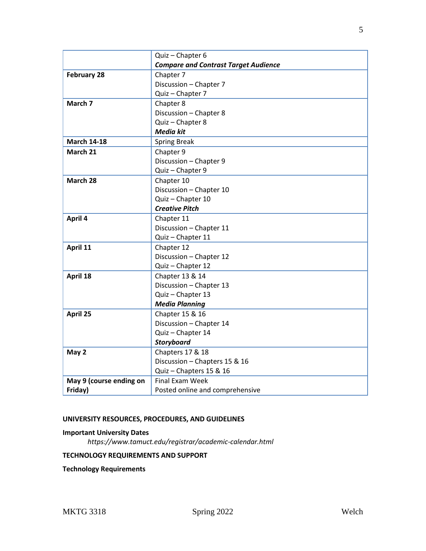|                         | Quiz - Chapter 6                            |
|-------------------------|---------------------------------------------|
|                         | <b>Compare and Contrast Target Audience</b> |
| <b>February 28</b>      | Chapter 7                                   |
|                         | Discussion - Chapter 7                      |
|                         | Quiz - Chapter 7                            |
| March 7                 | Chapter 8                                   |
|                         | Discussion - Chapter 8                      |
|                         | Quiz - Chapter 8                            |
|                         | <b>Media kit</b>                            |
| <b>March 14-18</b>      | <b>Spring Break</b>                         |
| March 21                | Chapter 9                                   |
|                         | Discussion - Chapter 9                      |
|                         | Quiz - Chapter 9                            |
| March 28                | Chapter 10                                  |
|                         | Discussion - Chapter 10                     |
|                         | Quiz - Chapter 10                           |
|                         | <b>Creative Pitch</b>                       |
| April 4                 | Chapter 11                                  |
|                         | Discussion - Chapter 11                     |
|                         | Quiz - Chapter 11                           |
| April 11                | Chapter 12                                  |
|                         | Discussion - Chapter 12                     |
|                         | Quiz - Chapter 12                           |
| April 18                | Chapter 13 & 14                             |
|                         | Discussion - Chapter 13                     |
|                         | Quiz - Chapter 13                           |
|                         | <b>Media Planning</b>                       |
| April 25                | Chapter 15 & 16                             |
|                         | Discussion - Chapter 14                     |
|                         | Quiz - Chapter 14                           |
|                         | <b>Storyboard</b>                           |
| May 2                   | Chapters 17 & 18                            |
|                         | Discussion - Chapters 15 & 16               |
|                         | Quiz - Chapters 15 & 16                     |
| May 9 (course ending on | <b>Final Exam Week</b>                      |
| Friday)                 | Posted online and comprehensive             |

# **UNIVERSITY RESOURCES, PROCEDURES, AND GUIDELINES**

# **Important University Dates**

*https://www.tamuct.edu/registrar/academic-calendar.html*

# **TECHNOLOGY REQUIREMENTS AND SUPPORT**

**Technology Requirements**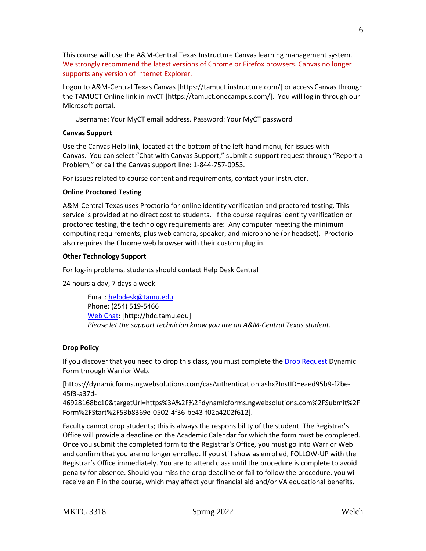This course will use the A&M-Central Texas Instructure Canvas learning management system. We strongly recommend the latest versions of Chrome or Firefox browsers. Canvas no longer supports any version of Internet Explorer.

Logon to A&M-Central Texas Canvas [https://tamuct.instructure.com/] or access Canvas through the TAMUCT Online link in myCT [https://tamuct.onecampus.com/]. You will log in through our Microsoft portal.

Username: Your MyCT email address. Password: Your MyCT password

# **Canvas Support**

Use the Canvas Help link, located at the bottom of the left-hand menu, for issues with Canvas. You can select "Chat with Canvas Support," submit a support request through "Report a Problem," or call the Canvas support line: 1-844-757-0953.

For issues related to course content and requirements, contact your instructor.

# **Online Proctored Testing**

A&M-Central Texas uses Proctorio for online identity verification and proctored testing. This service is provided at no direct cost to students. If the course requires identity verification or proctored testing, the technology requirements are: Any computer meeting the minimum computing requirements, plus web camera, speaker, and microphone (or headset). Proctorio also requires the Chrome web browser with their custom plug in.

# **Other Technology Support**

For log-in problems, students should contact Help Desk Central

24 hours a day, 7 days a week

Email: [helpdesk@tamu.edu](mailto:helpdesk@tamu.edu) Phone: (254) 519-5466 [Web Chat:](http://hdc.tamu.edu/) [http://hdc.tamu.edu] *Please let the support technician know you are an A&M-Central Texas student.*

# **Drop Policy**

If you discover that you need to drop this class, you must complete the [Drop Request](https://dynamicforms.ngwebsolutions.com/casAuthentication.ashx?InstID=eaed95b9-f2be-45f3-a37d-46928168bc10&targetUrl=https%3A%2F%2Fdynamicforms.ngwebsolutions.com%2FSubmit%2FForm%2FStart%2F53b8369e-0502-4f36-be43-f02a4202f612) Dynamic Form through Warrior Web.

[https://dynamicforms.ngwebsolutions.com/casAuthentication.ashx?InstID=eaed95b9-f2be-45f3-a37d-

46928168bc10&targetUrl=https%3A%2F%2Fdynamicforms.ngwebsolutions.com%2FSubmit%2F Form%2FStart%2F53b8369e-0502-4f36-be43-f02a4202f612].

Faculty cannot drop students; this is always the responsibility of the student. The Registrar's Office will provide a deadline on the Academic Calendar for which the form must be completed. Once you submit the completed form to the Registrar's Office, you must go into Warrior Web and confirm that you are no longer enrolled. If you still show as enrolled, FOLLOW-UP with the Registrar's Office immediately. You are to attend class until the procedure is complete to avoid penalty for absence. Should you miss the drop deadline or fail to follow the procedure, you will receive an F in the course, which may affect your financial aid and/or VA educational benefits.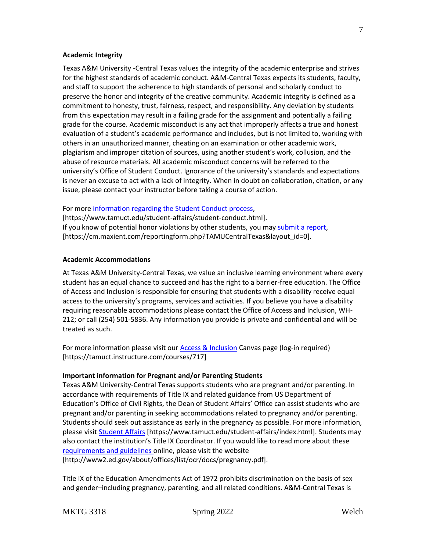#### **Academic Integrity**

Texas A&M University -Central Texas values the integrity of the academic enterprise and strives for the highest standards of academic conduct. A&M-Central Texas expects its students, faculty, and staff to support the adherence to high standards of personal and scholarly conduct to preserve the honor and integrity of the creative community. Academic integrity is defined as a commitment to honesty, trust, fairness, respect, and responsibility. Any deviation by students from this expectation may result in a failing grade for the assignment and potentially a failing grade for the course. Academic misconduct is any act that improperly affects a true and honest evaluation of a student's academic performance and includes, but is not limited to, working with others in an unauthorized manner, cheating on an examination or other academic work, plagiarism and improper citation of sources, using another student's work, collusion, and the abuse of resource materials. All academic misconduct concerns will be referred to the university's Office of Student Conduct. Ignorance of the university's standards and expectations is never an excuse to act with a lack of integrity. When in doubt on collaboration, citation, or any issue, please contact your instructor before taking a course of action.

#### For mor[e information regarding the Student Conduct process,](https://www.tamuct.edu/student-affairs/student-conduct.html)

[https://www.tamuct.edu/student-affairs/student-conduct.html]. If you know of potential honor violations by other students, you may [submit a report,](https://cm.maxient.com/reportingform.php?TAMUCentralTexas&layout_id=0) [https://cm.maxient.com/reportingform.php?TAMUCentralTexas&layout\_id=0].

#### **Academic Accommodations**

At Texas A&M University-Central Texas, we value an inclusive learning environment where every student has an equal chance to succeed and has the right to a barrier-free education. The Office of Access and Inclusion is responsible for ensuring that students with a disability receive equal access to the university's programs, services and activities. If you believe you have a disability requiring reasonable accommodations please contact the Office of Access and Inclusion, WH-212; or call (254) 501-5836. Any information you provide is private and confidential and will be treated as such.

For more information please visit our [Access & Inclusion](https://tamuct.instructure.com/courses/717) Canvas page (log-in required) [https://tamuct.instructure.com/courses/717]

#### **Important information for Pregnant and/or Parenting Students**

Texas A&M University-Central Texas supports students who are pregnant and/or parenting. In accordance with requirements of Title IX and related guidance from US Department of Education's Office of Civil Rights, the Dean of Student Affairs' Office can assist students who are pregnant and/or parenting in seeking accommodations related to pregnancy and/or parenting. Students should seek out assistance as early in the pregnancy as possible. For more information, please visit [Student Affairs](https://www.tamuct.edu/student-affairs/index.html) [https://www.tamuct.edu/student-affairs/index.html]. Students may also contact the institution's Title IX Coordinator. If you would like to read more about these [requirements and guidelines](http://www2.ed.gov/about/offices/list/ocr/docs/pregnancy.pdf) online, please visit the website [http://www2.ed.gov/about/offices/list/ocr/docs/pregnancy.pdf].

Title IX of the Education Amendments Act of 1972 prohibits discrimination on the basis of sex and gender–including pregnancy, parenting, and all related conditions. A&M-Central Texas is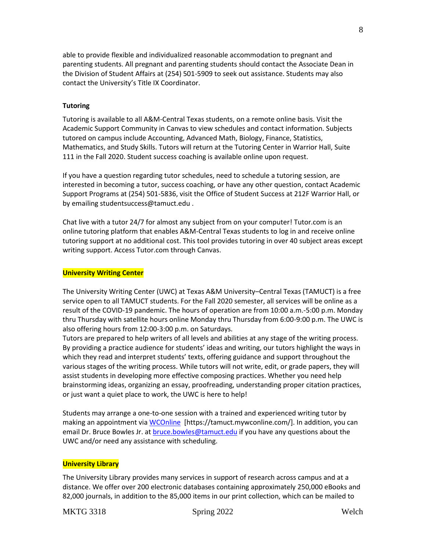able to provide flexible and individualized reasonable accommodation to pregnant and parenting students. All pregnant and parenting students should contact the Associate Dean in the Division of Student Affairs at (254) 501-5909 to seek out assistance. Students may also contact the University's Title IX Coordinator.

## **Tutoring**

Tutoring is available to all A&M-Central Texas students, on a remote online basis. Visit the Academic Support Community in Canvas to view schedules and contact information. Subjects tutored on campus include Accounting, Advanced Math, Biology, Finance, Statistics, Mathematics, and Study Skills. Tutors will return at the Tutoring Center in Warrior Hall, Suite 111 in the Fall 2020. Student success coaching is available online upon request.

If you have a question regarding tutor schedules, need to schedule a tutoring session, are interested in becoming a tutor, success coaching, or have any other question, contact Academic Support Programs at (254) 501-5836, visit the Office of Student Success at 212F Warrior Hall, or by emailing studentsuccess@tamuct.edu .

Chat live with a tutor 24/7 for almost any subject from on your computer! Tutor.com is an online tutoring platform that enables A&M-Central Texas students to log in and receive online tutoring support at no additional cost. This tool provides tutoring in over 40 subject areas except writing support. Access Tutor.com through Canvas.

# **University Writing Center**

The University Writing Center (UWC) at Texas A&M University–Central Texas (TAMUCT) is a free service open to all TAMUCT students. For the Fall 2020 semester, all services will be online as a result of the COVID-19 pandemic. The hours of operation are from 10:00 a.m.-5:00 p.m. Monday thru Thursday with satellite hours online Monday thru Thursday from 6:00-9:00 p.m. The UWC is also offering hours from 12:00-3:00 p.m. on Saturdays.

Tutors are prepared to help writers of all levels and abilities at any stage of the writing process. By providing a practice audience for students' ideas and writing, our tutors highlight the ways in which they read and interpret students' texts, offering guidance and support throughout the various stages of the writing process. While tutors will not write, edit, or grade papers, they will assist students in developing more effective composing practices. Whether you need help brainstorming ideas, organizing an essay, proofreading, understanding proper citation practices, or just want a quiet place to work, the UWC is here to help!

Students may arrange a one-to-one session with a trained and experienced writing tutor by making an appointment vi[a WCOnline](https://tamuct.mywconline.com/) [https://tamuct.mywconline.com/]. In addition, you can email Dr. Bruce Bowles Jr. a[t bruce.bowles@tamuct.edu](mailto:bruce.bowles@tamuct.edu) if you have any questions about the UWC and/or need any assistance with scheduling.

#### **University Library**

The University Library provides many services in support of research across campus and at a distance. We offer over 200 electronic databases containing approximately 250,000 eBooks and 82,000 journals, in addition to the 85,000 items in our print collection, which can be mailed to

# MKTG 3318 Spring 2022 Welch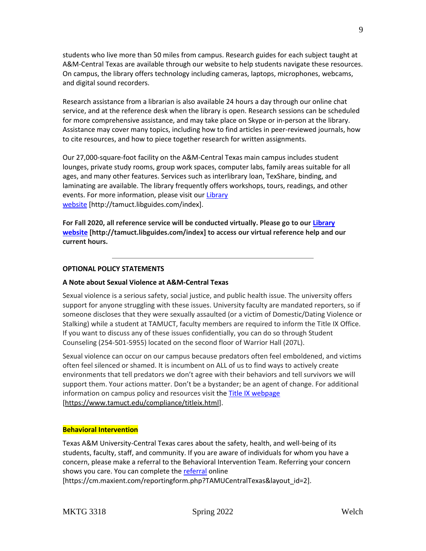students who live more than 50 miles from campus. Research guides for each subject taught at A&M-Central Texas are available through our website to help students navigate these resources. On campus, the library offers technology including cameras, laptops, microphones, webcams, and digital sound recorders.

Research assistance from a librarian is also available 24 hours a day through our online chat service, and at the reference desk when the library is open. Research sessions can be scheduled for more comprehensive assistance, and may take place on Skype or in-person at the library. Assistance may cover many topics, including how to find articles in peer-reviewed journals, how to cite resources, and how to piece together research for written assignments.

Our 27,000-square-foot facility on the A&M-Central Texas main campus includes student lounges, private study rooms, group work spaces, computer labs, family areas suitable for all ages, and many other features. Services such as interlibrary loan, TexShare, binding, and laminating are available. The library frequently offers workshops, tours, readings, and other events. For more information, please visit our [Library](https://tamuct.libguides.com/index) [website](https://tamuct.libguides.com/index) [http://tamuct.libguides.com/index].

**For Fall 2020, all reference service will be conducted virtually. Please go to our [Library](https://tamuct.libguides.com/index) [website](https://tamuct.libguides.com/index) [http://tamuct.libguides.com/index] to access our virtual reference help and our current hours.**

# **OPTIONAL POLICY STATEMENTS**

#### **A Note about Sexual Violence at A&M-Central Texas**

Sexual violence is a serious safety, social justice, and public health issue. The university offers support for anyone struggling with these issues. University faculty are mandated reporters, so if someone discloses that they were sexually assaulted (or a victim of Domestic/Dating Violence or Stalking) while a student at TAMUCT, faculty members are required to inform the Title IX Office. If you want to discuss any of these issues confidentially, you can do so through Student Counseling (254-501-5955) located on the second floor of Warrior Hall (207L).

Sexual violence can occur on our campus because predators often feel emboldened, and victims often feel silenced or shamed. It is incumbent on ALL of us to find ways to actively create environments that tell predators we don't agree with their behaviors and tell survivors we will support them. Your actions matter. Don't be a bystander; be an agent of change. For additional information on campus policy and resources visit th[e Title IX webpage](https://www.tamuct.edu/compliance/titleix.html) [\[https://www.tamuct.edu/compliance/titleix.html\]](https://www.tamuct.edu/compliance/titleix.html).

#### **Behavioral Intervention**

Texas A&M University-Central Texas cares about the safety, health, and well-being of its students, faculty, staff, and community. If you are aware of individuals for whom you have a concern, please make a referral to the Behavioral Intervention Team. Referring your concern shows you care. You can complete the [referral](https://cm.maxient.com/reportingform.php?TAMUCentralTexas&layout_id=2) online [https://cm.maxient.com/reportingform.php?TAMUCentralTexas&layout\_id=2].